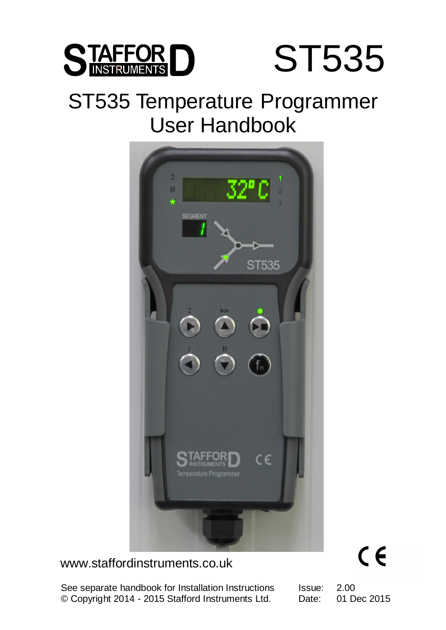

## ST535 Temperature Programmer User Handbook



www.staffordinstruments.co.uk

© Copyright 2014 - 2015 Stafford Instruments Ltd. Date: 01 Dec See separate handbook for Installation Instructions

Issue: 2.00 Date: 01 Dec 2015

 $C \in$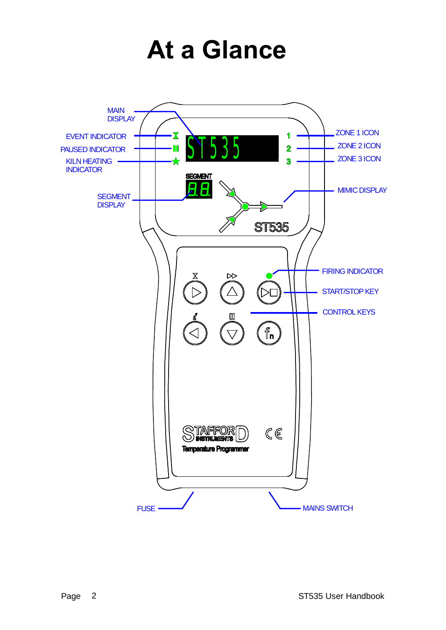## **At a Glance**

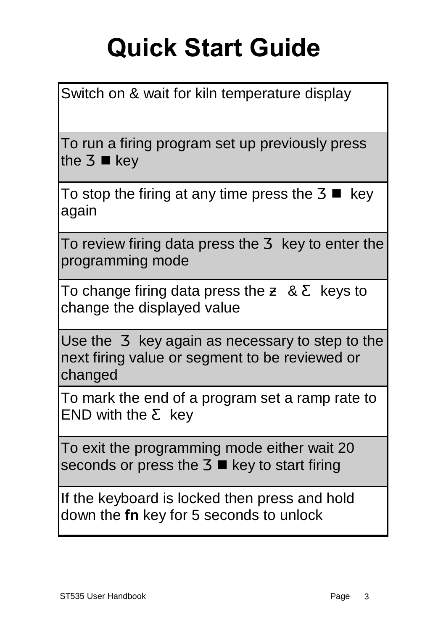# **Quick Start Guide**

| Switch on & wait for kiln temperature display                                                              |  |  |  |  |  |  |
|------------------------------------------------------------------------------------------------------------|--|--|--|--|--|--|
| To run a firing program set up previously press<br>key<br>the<br>n                                         |  |  |  |  |  |  |
| To stop the firing at any time press the<br>key<br>again                                                   |  |  |  |  |  |  |
| To review firing data press the<br>key to enter the<br>programming mode                                    |  |  |  |  |  |  |
| 8 <sup>°</sup><br>To change firing data press the<br>keys to<br>change the displayed value                 |  |  |  |  |  |  |
| Use the key again as necessary to step to the<br>next firing value or segment to be reviewed or<br>changed |  |  |  |  |  |  |
| To mark the end of a program set a ramp rate to<br>END with the key                                        |  |  |  |  |  |  |
| To exit the programming mode either wait 20<br>seconds or press the ■ key to start firing                  |  |  |  |  |  |  |
| If the keyboard is locked then press and hold<br>down the fn key for 5 seconds to unlock                   |  |  |  |  |  |  |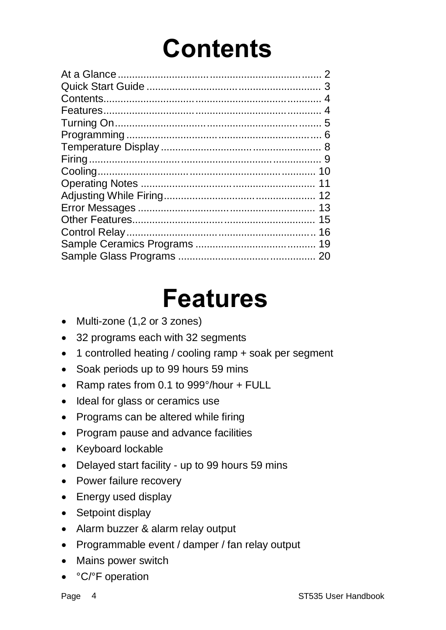## **Contents**

| 3  |
|----|
| 4  |
|    |
|    |
|    |
|    |
|    |
|    |
|    |
|    |
| 13 |
| 15 |
| 16 |
| 19 |
|    |
|    |

## **Features**

- Multi-zone (1,2 or 3 zones)
- · 32 programs each with 32 segments
- · 1 controlled heating / cooling ramp + soak per segment
- · Soak periods up to 99 hours 59 mins
- · Ramp rates from 0.1 to 999°/hour + FULL
- Ideal for glass or ceramics use
- · Programs can be altered while firing
- · Program pause and advance facilities
- · Keyboard lockable
- · Delayed start facility up to 99 hours 59 mins
- Power failure recovery
- Energy used display
- Setpoint display
- · Alarm buzzer & alarm relay output
- · Programmable event / damper / fan relay output
- · Mains power switch
- · °C/°F operation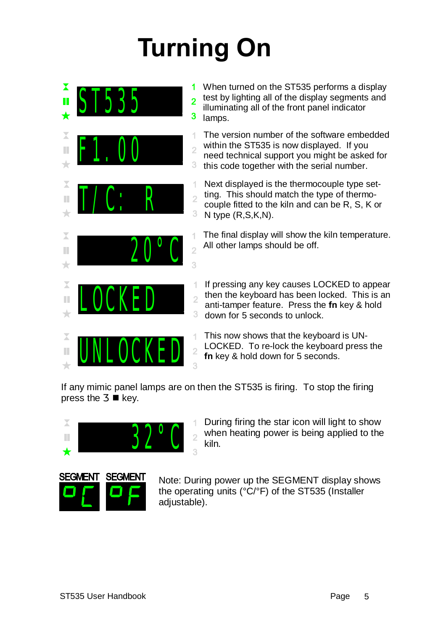# **Turning On**



If any mimic panel lamps are on then the ST535 is firing. To stop the firing press the  $\blacksquare$  key.



During firing the star icon will light to show when heating power is being applied to the  $\overline{2}$ kiln.



Note: During power up the SEGMENT display shows the operating units (°C/°F) of the ST535 (Installer adjustable).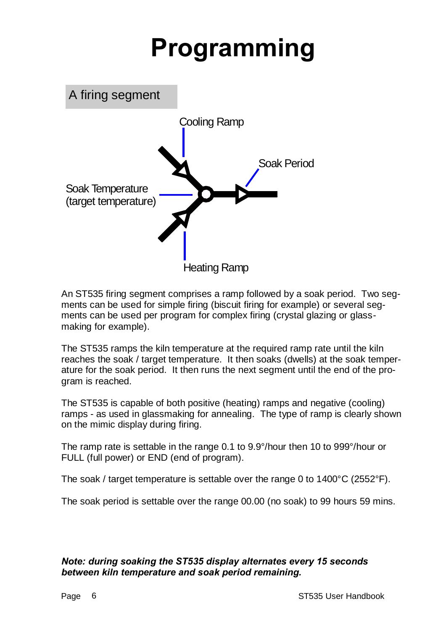## **Programming**



An ST535 firing segment comprises a ramp followed by a soak period. Two segments can be used for simple firing (biscuit firing for example) or several segments can be used per program for complex firing (crystal glazing or glassmaking for example).

The ST535 ramps the kiln temperature at the required ramp rate until the kiln reaches the soak / target temperature. It then soaks (dwells) at the soak temperature for the soak period. It then runs the next segment until the end of the program is reached.

The ST535 is capable of both positive (heating) ramps and negative (cooling) ramps - as used in glassmaking for annealing. The type of ramp is clearly shown on the mimic display during firing.

The ramp rate is settable in the range 0.1 to 9.9°/hour then 10 to 999°/hour or FULL (full power) or END (end of program).

The soak / target temperature is settable over the range 0 to 1400°C (2552°F).

The soak period is settable over the range 00.00 (no soak) to 99 hours 59 mins.

#### *Note: during soaking the ST535 display alternates every 15 seconds between kiln temperature and soak period remaining.*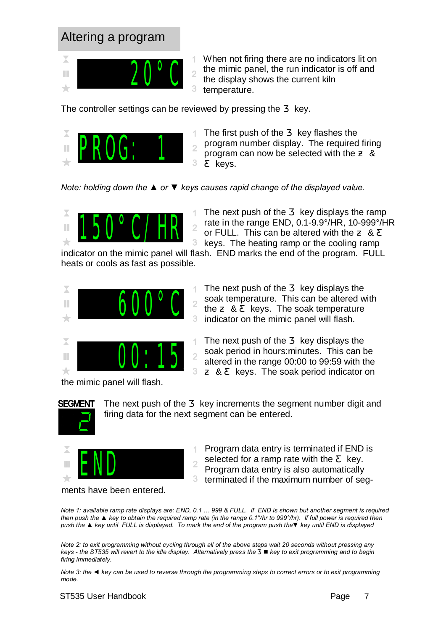#### Altering a program



When not firing there are no indicators lit on the mimic panel, the run indicator is off and the display shows the current kiln temperature.

The controller settings can be reviewed by pressing the key.



The first push of the key flashes the program number display. The required firing program can now be selected with the & keys.

*Note: holding down the ▲ or ▼ keys causes rapid change of the displayed value.*



The next push of the key displays the ramp rate in the range END, 0.1-9.9°/HR, 10-999°/HR or FULL. This can be altered with the & keys. The heating ramp or the cooling ramp

The next push of the key displays the soak temperature. This can be altered with the & keys. The soak temperature indicator on the mimic panel will flash.

The next push of the key displays the soak period in hours:minutes. This can be altered in the range 00:00 to 99:59 with the & keys. The soak period indicator on

indicator on the mimic panel will flash. END marks the end of the program. FULL heats or cools as fast as possible.



Χ 00:15 П 3  $\rightarrow$ 

the mimic panel will flash.



The next push of the key increments the segment number digit and firing data for the next segment can be entered.



Program data entry is terminated if END is selected for a ramp rate with the key.

Program data entry is also automatically

3. terminated if the maximum number of seg-

*Note 1: available ramp rate displays are: END, 0.1 … 999 & FULL. If END is shown but another segment is required then push the ▲ key to obtain the required ramp rate (in the range 0.1°/hr to 999°/hr). If full power is required then push the ▲ key until FULL is displayed. To mark the end of the program push the▼ key until END is displayed*

*Note 2: to exit programming without cycling through all of the above steps wait 20 seconds without pressing any keys - the ST535 will revert to the idle display. Alternatively press the* n *key to exit programming and to begin firing immediately.*

*Note 3: the ◄ key can be used to reverse through the programming steps to correct errors or to exit programming mode.*

#### ST535 User Handbook **Page 7** No. 2014 12:35 User Handbook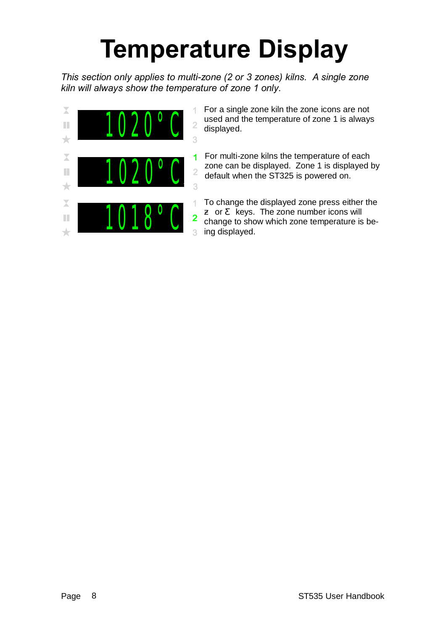## **Temperature Display**

*This section only applies to multi-zone (2 or 3 zones) kilns. A single zone kiln will always show the temperature of zone 1 only.*



For a single zone kiln the zone icons are not used and the temperature of zone 1 is always<br>  $\frac{2}{3}$  displayed.

For multi-zone kilns the temperature of each zone can be displayed. Zone 1 is displayed by<br>2 default when the ST325 is powered on.<br>3

To change the displayed zone press either the or keys. The zone number icons will change to show which zone temperature is being displayed.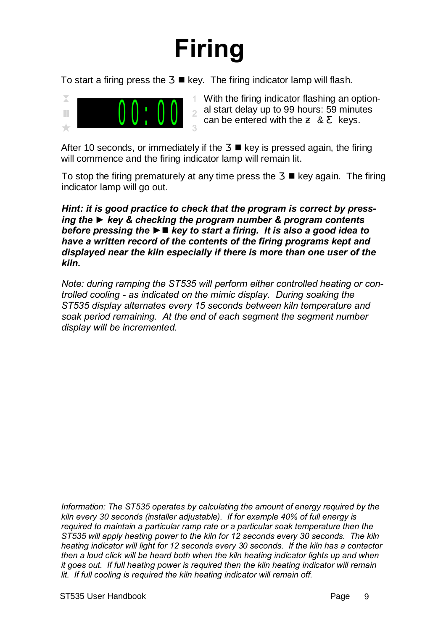# **Firing**

To start a firing press the  $\blacksquare$  key. The firing indicator lamp will flash.



With the firing indicator flashing an optional start delay up to 99 hours: 59 minutes can be entered with the & keys.

After 10 seconds, or immediately if the  $\blacksquare$  key is pressed again, the firing will commence and the firing indicator lamp will remain lit.

To stop the firing prematurely at any time press the  $\blacksquare$  key again. The firing indicator lamp will go out.

*Hint: it is good practice to check that the program is correct by pressing the ► key & checking the program number & program contents before pressing the* **►**n *key to start a firing. It is also a good idea to have a written record of the contents of the firing programs kept and displayed near the kiln especially if there is more than one user of the kiln.*

*Note: during ramping the ST535 will perform either controlled heating or controlled cooling - as indicated on the mimic display. During soaking the ST535 display alternates every 15 seconds between kiln temperature and soak period remaining. At the end of each segment the segment number display will be incremented.*

*Information: The ST535 operates by calculating the amount of energy required by the kiln every 30 seconds (installer adjustable). If for example 40% of full energy is required to maintain a particular ramp rate or a particular soak temperature then the ST535 will apply heating power to the kiln for 12 seconds every 30 seconds. The kiln heating indicator will light for 12 seconds every 30 seconds. If the kiln has a contactor then a loud click will be heard both when the kiln heating indicator lights up and when it goes out. If full heating power is required then the kiln heating indicator will remain lit. If full cooling is required the kiln heating indicator will remain off.*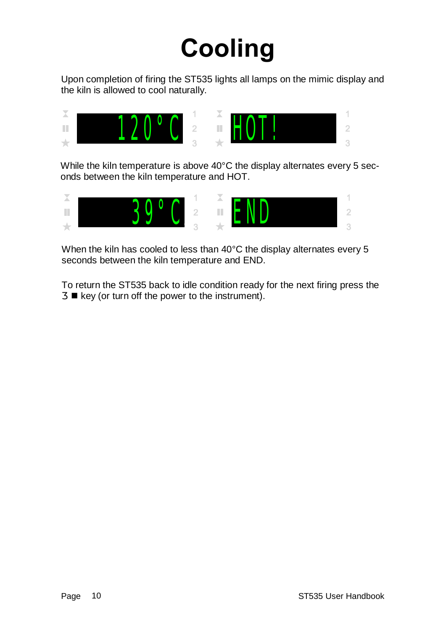## **Cooling**

Upon completion of firing the ST535 lights all lamps on the mimic display and the kiln is allowed to cool naturally.



While the kiln temperature is above 40°C the display alternates every 5 seconds between the kiln temperature and HOT.



When the kiln has cooled to less than 40°C the display alternates every 5 seconds between the kiln temperature and END.

To return the ST535 back to idle condition ready for the next firing press the  $\blacksquare$  key (or turn off the power to the instrument).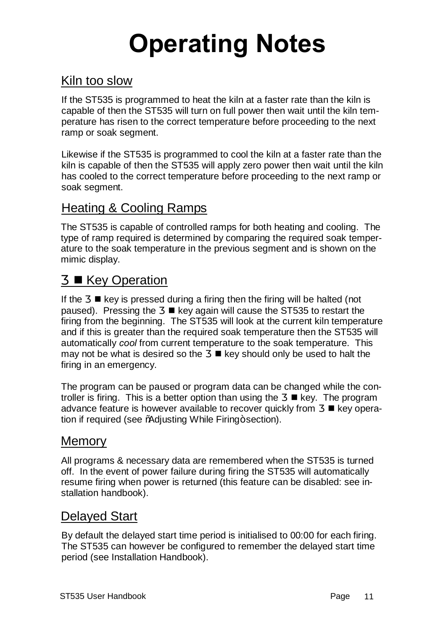# **Operating Notes**

#### Kiln too slow

If the ST535 is programmed to heat the kiln at a faster rate than the kiln is capable of then the ST535 will turn on full power then wait until the kiln temperature has risen to the correct temperature before proceeding to the next ramp or soak segment.

Likewise if the ST535 is programmed to cool the kiln at a faster rate than the kiln is capable of then the ST535 will apply zero power then wait until the kiln has cooled to the correct temperature before proceeding to the next ramp or soak segment.

#### Heating & Cooling Ramps

The ST535 is capable of controlled ramps for both heating and cooling. The type of ramp required is determined by comparing the required soak temperature to the soak temperature in the previous segment and is shown on the mimic display.

#### ■ Key Operation

If the  $\blacksquare$  key is pressed during a firing then the firing will be halted (not paused). Pressing the  $\Box$  key again will cause the ST535 to restart the firing from the beginning. The ST535 will look at the current kiln temperature and if this is greater than the required soak temperature then the ST535 will automatically *cool* from current temperature to the soak temperature. This may not be what is desired so the  $\Box$  key should only be used to halt the firing in an emergency.

The program can be paused or program data can be changed while the controller is firing. This is a better option than using the  $\blacksquare$  key. The program advance feature is however available to recover quickly from  $\Box$  key operation if required (see %Adjusting While Firing+section).

#### **Memory**

All programs & necessary data are remembered when the ST535 is turned off. In the event of power failure during firing the ST535 will automatically resume firing when power is returned (this feature can be disabled: see installation handbook).

#### Delayed Start

By default the delayed start time period is initialised to 00:00 for each firing. The ST535 can however be configured to remember the delayed start time period (see Installation Handbook).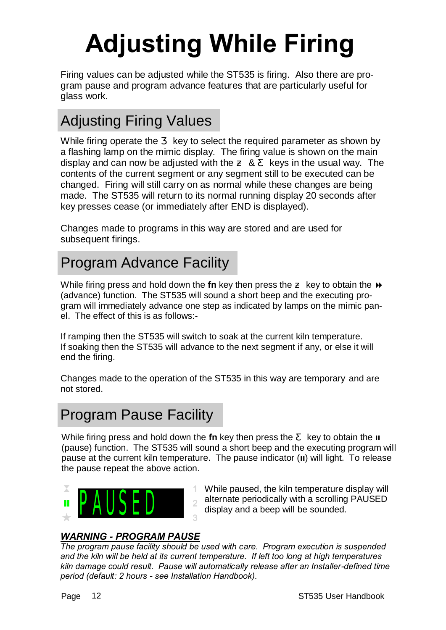# **Adjusting While Firing**

Firing values can be adjusted while the ST535 is firing. Also there are program pause and program advance features that are particularly useful for glass work.

### Adjusting Firing Values

While firing operate the key to select the required parameter as shown by a flashing lamp on the mimic display. The firing value is shown on the main display and can now be adjusted with the & keys in the usual way. The contents of the current segment or any segment still to be executed can be changed. Firing will still carry on as normal while these changes are being made. The ST535 will return to its normal running display 20 seconds after key presses cease (or immediately after END is displayed).

Changes made to programs in this way are stored and are used for subsequent firings.

### Program Advance Facility

While firing press and hold down the **fn** key then press the key to obtain the  $\rightarrow$ (advance) function. The ST535 will sound a short beep and the executing program will immediately advance one step as indicated by lamps on the mimic panel. The effect of this is as follows:-

If ramping then the ST535 will switch to soak at the current kiln temperature. If soaking then the ST535 will advance to the next segment if any, or else it will end the firing.

Changes made to the operation of the ST535 in this way are temporary and are not stored.

### Program Pause Facility

While firing press and hold down the **fn** key then press the key to obtain the **II** (pause) function. The ST535 will sound a short beep and the executing program will pause at the current kiln temperature. The pause indicator (**II**) will light. To release the pause repeat the above action.



While paused, the kiln temperature display will alternate periodically with a scrolling PAUSED<br>display and a beep will be sounded.

#### *WARNING - PROGRAM PAUSE*

*The program pause facility should be used with care. Program execution is suspended and the kiln will be held at its current temperature. If left too long at high temperatures kiln damage could result. Pause will automatically release after an Installer-defined time period (default: 2 hours - see Installation Handbook).*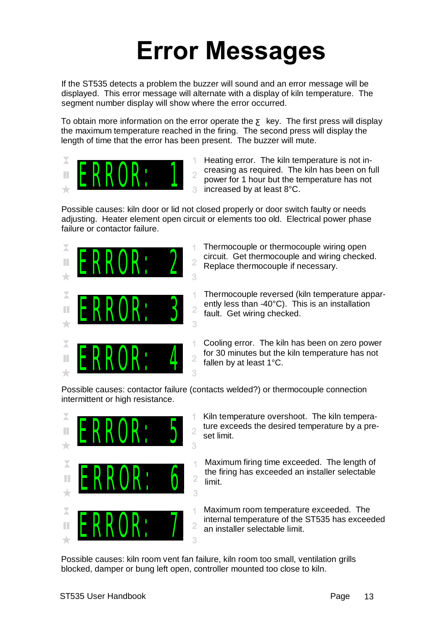## **Error Messages**

If the ST535 detects a problem the buzzer will sound and an error message will be displayed. This error message will alternate with a display of kiln temperature. The segment number display will show where the error occurred.

To obtain more information on the error operate the key. The first press will display the maximum temperature reached in the firing. The second press will display the length of time that the error has been present. The buzzer will mute.



Heating error. The kiln temperature is not increasing as required. The kiln has been on full power for 1 hour but the temperature has not increased by at least 8°C.

Possible causes: kiln door or lid not closed properly or door switch faulty or needs adjusting. Heater element open circuit or elements too old. Electrical power phase failure or contactor failure.



Possible causes: contactor failure (contacts welded?) or thermocouple connection intermittent or high resistance.



- Kiln temperature overshoot. The kiln temperature exceeds the desired temperature by a preset limit.
- Maximum firing time exceeded. The length of the firing has exceeded an installer selectable limit.
- Maximum room temperature exceeded. The internal temperature of the ST535 has exceeded an installer selectable limit.

Possible causes: kiln room vent fan failure, kiln room too small, ventilation grills blocked, damper or bung left open, controller mounted too close to kiln.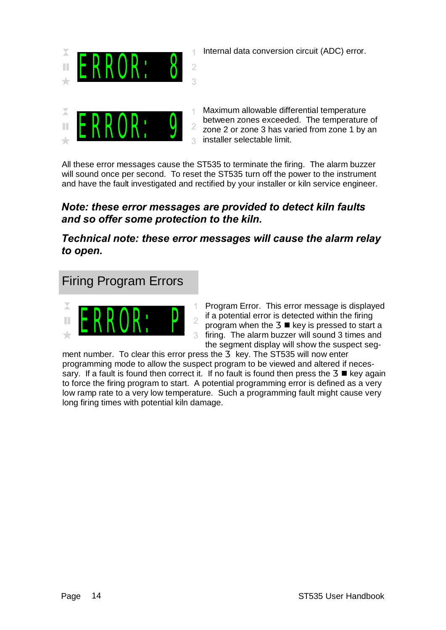

Internal data conversion circuit (ADC) error.



Maximum allowable differential temperature between zones exceeded. The temperature of zone 2 or zone 3 has varied from zone 1 by an installer selectable limit.

All these error messages cause the ST535 to terminate the firing. The alarm buzzer will sound once per second. To reset the ST535 turn off the power to the instrument and have the fault investigated and rectified by your installer or kiln service engineer.

#### *Note: these error messages are provided to detect kiln faults and so offer some protection to the kiln.*

*Technical note: these error messages will cause the alarm relay to open.* 

#### Firing Program Errors



Program Error. This error message is displayed if a potential error is detected within the firing program when the  $\blacksquare$  key is pressed to start a firing. The alarm buzzer will sound 3 times and the segment display will show the suspect seg-

ment number. To clear this error press the key. The ST535 will now enter programming mode to allow the suspect program to be viewed and altered if necessary. If a fault is found then correct it. If no fault is found then press the  $\blacksquare$  key again to force the firing program to start. A potential programming error is defined as a very low ramp rate to a very low temperature. Such a programming fault might cause very long firing times with potential kiln damage.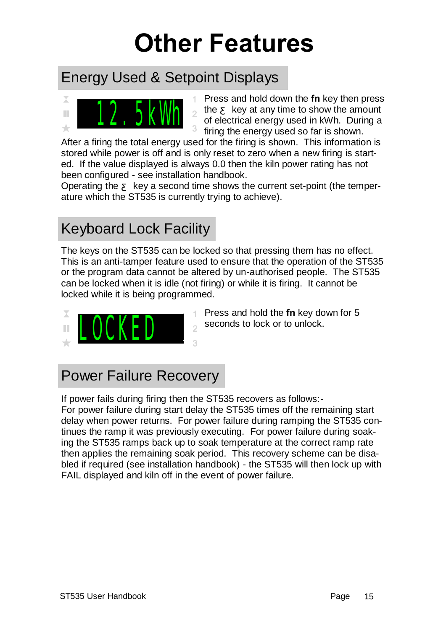## **Other Features**

### Energy Used & Setpoint Displays



Press and hold down the **fn** key then press the key at any time to show the amount of electrical energy used in kWh. During a firing the energy used so far is shown.

After a firing the total energy used for the firing is shown. This information is stored while power is off and is only reset to zero when a new firing is started. If the value displayed is always 0.0 then the kiln power rating has not been configured - see installation handbook.

Operating the key a second time shows the current set-point (the temperature which the ST535 is currently trying to achieve).

### Keyboard Lock Facility

The keys on the ST535 can be locked so that pressing them has no effect. This is an anti-tamper feature used to ensure that the operation of the ST535 or the program data cannot be altered by un-authorised people. The ST535 can be locked when it is idle (not firing) or while it is firing. It cannot be locked while it is being programmed.



- Press and hold the **fn** key down for 5
- $\frac{2}{3}$  seconds to lock or to unlock.

### Power Failure Recovery

If power fails during firing then the ST535 recovers as follows:-

For power failure during start delay the ST535 times off the remaining start delay when power returns. For power failure during ramping the ST535 continues the ramp it was previously executing. For power failure during soaking the ST535 ramps back up to soak temperature at the correct ramp rate then applies the remaining soak period. This recovery scheme can be disabled if required (see installation handbook) - the ST535 will then lock up with FAIL displayed and kiln off in the event of power failure.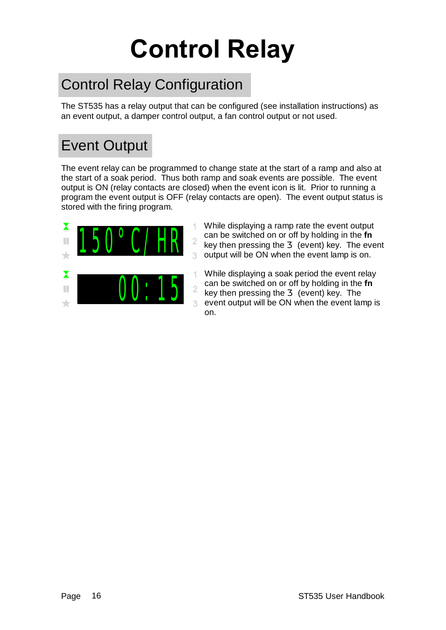# **Control Relay**

### Control Relay Configuration

The ST535 has a relay output that can be configured (see installation instructions) as an event output, a damper control output, a fan control output or not used.

### Event Output

The event relay can be programmed to change state at the start of a ramp and also at the start of a soak period. Thus both ramp and soak events are possible. The event output is ON (relay contacts are closed) when the event icon is lit. Prior to running a program the event output is OFF (relay contacts are open). The event output status is stored with the firing program.



While displaying a ramp rate the event output can be switched on or off by holding in the **fn** key then pressing the (event) key. The event output will be ON when the event lamp is on.

While displaying a soak period the event relay 1 can be switched on or off by holding in the **fn** key then pressing the (event) key. The event output will be ON when the event lamp is  $\overline{a}$ on.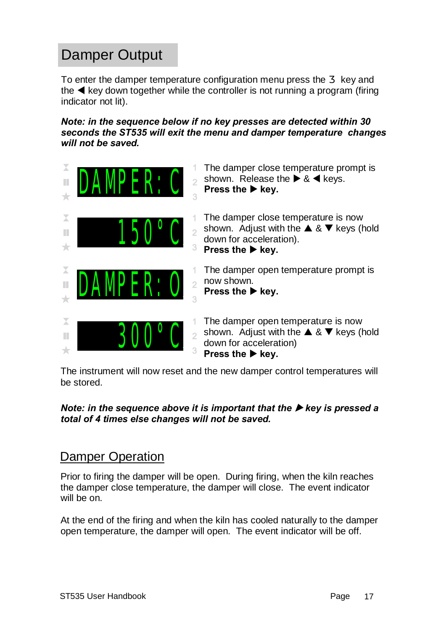### Damper Output

To enter the damper temperature configuration menu press the key and the  $\blacktriangleleft$  key down together while the controller is not running a program (firing indicator not lit).

*Note: in the sequence below if no key presses are detected within 30 seconds the ST535 will exit the menu and damper temperature changes will not be saved.*



The instrument will now reset and the new damper control temperatures will be stored.

#### *Note: in the sequence above it is important that the*  $\triangleright$  *key is pressed a total of 4 times else changes will not be saved.*

#### Damper Operation

Prior to firing the damper will be open. During firing, when the kiln reaches the damper close temperature, the damper will close. The event indicator will be on.

At the end of the firing and when the kiln has cooled naturally to the damper open temperature, the damper will open. The event indicator will be off.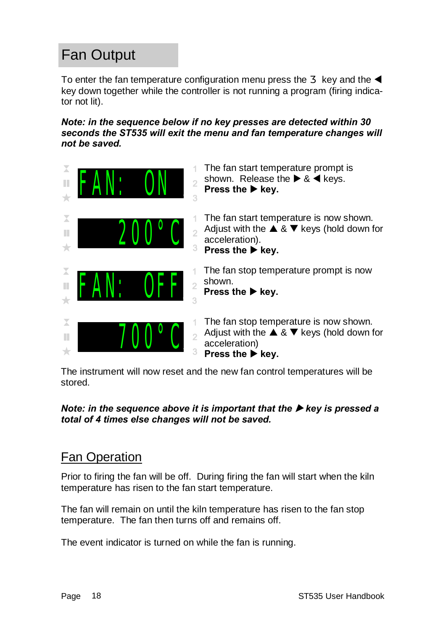### Fan Output

To enter the fan temperature configuration menu press the key and the  $\blacktriangleleft$ key down together while the controller is not running a program (firing indicator not lit).

*Note: in the sequence below if no key presses are detected within 30 seconds the ST535 will exit the menu and fan temperature changes will not be saved.*



The instrument will now reset and the new fan control temperatures will be stored.

#### *Note: in the sequence above it is important that the*  $\triangleright$  *key is pressed a total of 4 times else changes will not be saved.*

#### Fan Operation

Prior to firing the fan will be off. During firing the fan will start when the kiln temperature has risen to the fan start temperature.

The fan will remain on until the kiln temperature has risen to the fan stop temperature. The fan then turns off and remains off.

The event indicator is turned on while the fan is running.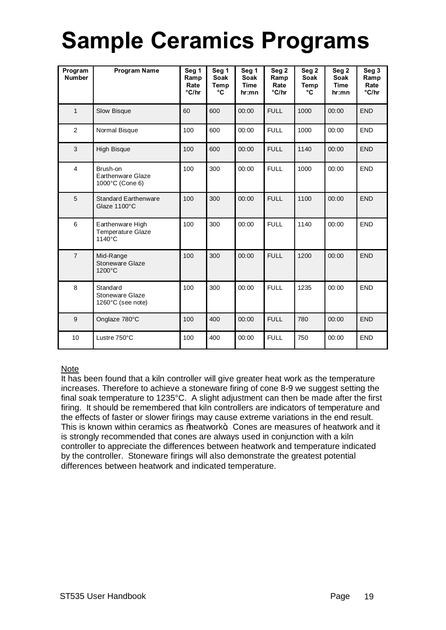## **Sample Ceramics Programs**

| Program<br><b>Number</b> | <b>Program Name</b>                                     | Seg 1<br>Ramp<br>Rate<br>°C/hr | Seg 1<br><b>Soak</b><br>Temp<br>°C | Seg 1<br><b>Soak</b><br><b>Time</b><br>hr:mn | Seg <sub>2</sub><br>Ramp<br>Rate<br>°C/hr | Seg <sub>2</sub><br><b>Soak</b><br>Temp<br>°C | Seg <sub>2</sub><br><b>Soak</b><br><b>Time</b><br>hr:mn | Seg 3<br>Ramp<br>Rate<br>°C/hr |
|--------------------------|---------------------------------------------------------|--------------------------------|------------------------------------|----------------------------------------------|-------------------------------------------|-----------------------------------------------|---------------------------------------------------------|--------------------------------|
| $\mathbf{1}$             | Slow Bisque                                             | 60                             | 600                                | 00:00                                        | <b>FULL</b>                               | 1000                                          | <b>END</b>                                              |                                |
| $\overline{2}$           | Normal Bisque                                           | 100                            | 600                                | 00:00                                        | <b>FULL</b>                               | 1000                                          | 00:00                                                   | <b>END</b>                     |
| 3                        | <b>High Bisque</b>                                      | 100                            | 600                                | 00:00                                        | <b>FULL</b>                               | 1140                                          | 00:00                                                   | <b>END</b>                     |
| $\overline{4}$           | Brush-on<br><b>Earthenware Glaze</b><br>1000°C (Cone 6) | 100                            | 300                                | 00:00                                        | <b>FULL</b>                               | 1000                                          | 00:00                                                   | <b>END</b>                     |
| 5                        | <b>Standard Earthenware</b><br>Glaze 1100°C             | 100                            | 300                                | 00:00                                        | <b>FULL</b>                               | 1100                                          | 00:00                                                   | <b>END</b>                     |
| 6                        | Earthenware High<br><b>Temperature Glaze</b><br>1140°C  | 100                            | 300                                | 00:00                                        | <b>FULL</b>                               | 1140                                          | 00:00                                                   | <b>END</b>                     |
| $\overline{7}$           | Mid-Range<br>Stoneware Glaze<br>1200°C                  | 100                            | 300                                | 00:00                                        | <b>FULL</b>                               | 1200                                          | 00:00                                                   | <b>END</b>                     |
| 8                        | Standard<br>Stoneware Glaze<br>1260°C (see note)        | 100                            | 300                                | 00:00                                        | <b>FULL</b>                               | 1235                                          | 00:00                                                   | <b>END</b>                     |
| 9                        | Onglaze 780°C                                           | 100                            | 400                                | 00:00                                        | <b>FULL</b>                               | 780<br>00:00                                  |                                                         | <b>END</b>                     |
| 10                       | Lustre 750°C                                            | 100                            | 400                                | 00:00                                        | <b>FULL</b>                               | 750                                           | 00:00                                                   | <b>END</b>                     |

#### Note

It has been found that a kiln controller will give greater heat work as the temperature increases. Therefore to achieve a stoneware firing of cone 8-9 we suggest setting the final soak temperature to 1235°C. A slight adjustment can then be made after the first firing. It should be remembered that kiln controllers are indicators of temperature and the effects of faster or slower firings may cause extreme variations in the end result. This is known within ceramics as 'beatwork+. Cones are measures of heatwork and it is strongly recommended that cones are always used in conjunction with a kiln controller to appreciate the differences between heatwork and temperature indicated by the controller. Stoneware firings will also demonstrate the greatest potential differences between heatwork and indicated temperature.